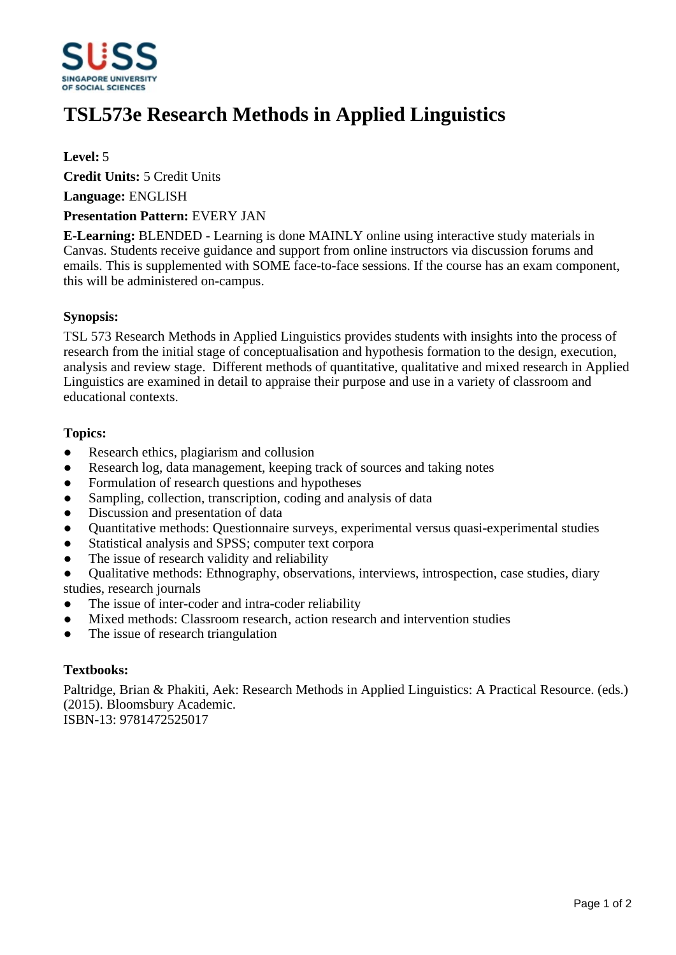

# **TSL573e Research Methods in Applied Linguistics**

# **Level:** 5

**Credit Units:** 5 Credit Units

**Language:** ENGLISH

#### **Presentation Pattern:** EVERY JAN

**E-Learning:** BLENDED - Learning is done MAINLY online using interactive study materials in Canvas. Students receive guidance and support from online instructors via discussion forums and emails. This is supplemented with SOME face-to-face sessions. If the course has an exam component, this will be administered on-campus.

## **Synopsis:**

TSL 573 Research Methods in Applied Linguistics provides students with insights into the process of research from the initial stage of conceptualisation and hypothesis formation to the design, execution, analysis and review stage. Different methods of quantitative, qualitative and mixed research in Applied Linguistics are examined in detail to appraise their purpose and use in a variety of classroom and educational contexts.

## **Topics:**

- Research ethics, plagiarism and collusion
- Research log, data management, keeping track of sources and taking notes
- Formulation of research questions and hypotheses
- Sampling, collection, transcription, coding and analysis of data
- Discussion and presentation of data
- ƔQuantitative methods: Questionnaire surveys, experimental versus quasi-experimental studies
- Statistical analysis and SPSS; computer text corpora
- The issue of research validity and reliability

ƔQualitative methods: Ethnography, observations, interviews, introspection, case studies, diary studies, research journals

- The issue of inter-coder and intra-coder reliability
- Mixed methods: Classroom research, action research and intervention studies
- The issue of research triangulation

#### **Textbooks:**

Paltridge, Brian & Phakiti, Aek: Research Methods in Applied Linguistics: A Practical Resource. (eds.) (2015). Bloomsbury Academic.

ISBN-13: 9781472525017